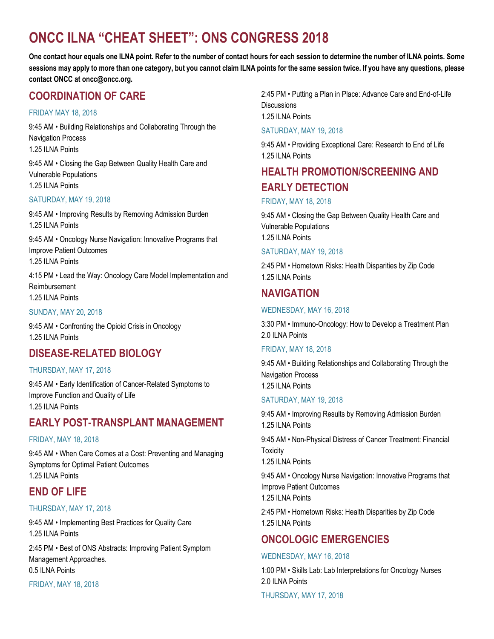# **ONCC ILNA "CHEAT SHEET": ONS CONGRESS 2018**

**One contact hour equals one ILNA point. Refer to the number of contact hours for each session to determine the number of ILNA points. Some sessions may apply to more than one category, but you cannot claim ILNA points for the same session twice. If you have any questions, please contact ONCC at oncc@oncc.org.**

# **COORDINATION OF CARE**

### FRIDAY MAY 18, 2018

9:45 AM • Building Relationships and Collaborating Through the Navigation Process 1.25 ILNA Points

9:45 AM • Closing the Gap Between Quality Health Care and Vulnerable Populations 1.25 ILNA Points

### SATURDAY, MAY 19, 2018

9:45 AM • Improving Results by Removing Admission Burden 1.25 ILNA Points

9:45 AM • Oncology Nurse Navigation: Innovative Programs that Improve Patient Outcomes 1.25 ILNA Points

4:15 PM • Lead the Way: Oncology Care Model Implementation and Reimbursement 1.25 ILNA Points

#### SUNDAY, MAY 20, 2018

9:45 AM • Confronting the Opioid Crisis in Oncology 1.25 ILNA Points

# **DISEASE-RELATED BIOLOGY**

#### THURSDAY, MAY 17, 2018

9:45 AM • Early Identification of Cancer-Related Symptoms to Improve Function and Quality of Life 1.25 ILNA Points

# **EARLY POST-TRANSPLANT MANAGEMENT**

#### FRIDAY, MAY 18, 2018

9:45 AM • When Care Comes at a Cost: Preventing and Managing Symptoms for Optimal Patient Outcomes 1.25 ILNA Points

# **END OF LIFE**

# THURSDAY, MAY 17, 2018

9:45 AM • Implementing Best Practices for Quality Care 1.25 ILNA Points

2:45 PM • Best of ONS Abstracts: Improving Patient Symptom Management Approaches. 0.5 ILNA Points

FRIDAY, MAY 18, 2018

2:45 PM • Putting a Plan in Place: Advance Care and End-of-Life Discussions 1.25 ILNA Points

SATURDAY, MAY 19, 2018

9:45 AM • Providing Exceptional Care: Research to End of Life 1.25 ILNA Points

# **HEALTH PROMOTION/SCREENING AND EARLY DETECTION**

### FRIDAY, MAY 18, 2018

9:45 AM • Closing the Gap Between Quality Health Care and Vulnerable Populations 1.25 ILNA Points

### SATURDAY, MAY 19, 2018

2:45 PM • Hometown Risks: Health Disparities by Zip Code 1.25 ILNA Points

# **NAVIGATION**

# WEDNESDAY, MAY 16, 2018

3:30 PM • Immuno-Oncology: How to Develop a Treatment Plan 2.0 ILNA Points

#### FRIDAY, MAY 18, 2018

9:45 AM • Building Relationships and Collaborating Through the Navigation Process 1.25 ILNA Points

#### SATURDAY, MAY 19, 2018

9:45 AM • Improving Results by Removing Admission Burden 1.25 ILNA Points

9:45 AM • Non-Physical Distress of Cancer Treatment: Financial **Toxicity** 

1.25 ILNA Points

9:45 AM • Oncology Nurse Navigation: Innovative Programs that Improve Patient Outcomes

1.25 ILNA Points

2:45 PM • Hometown Risks: Health Disparities by Zip Code 1.25 ILNA Points

# **ONCOLOGIC EMERGENCIES**

# WEDNESDAY, MAY 16, 2018

1:00 PM • Skills Lab: Lab Interpretations for Oncology Nurses 2.0 ILNA Points

THURSDAY, MAY 17, 2018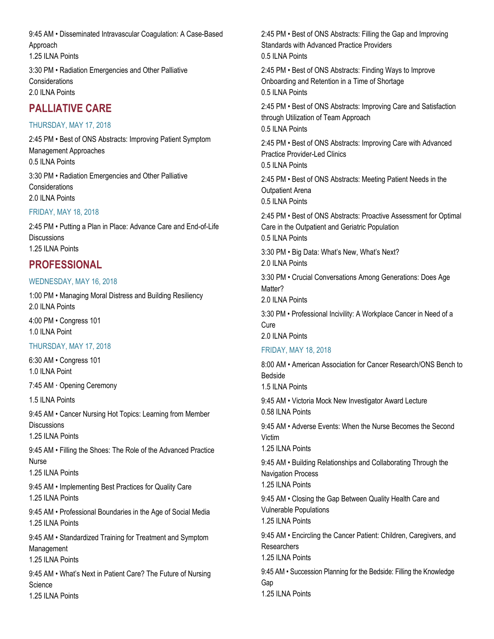9:45 AM • Disseminated Intravascular Coagulation: A Case-Based Approach 1.25 ILNA Points 3:30 PM • Radiation Emergencies and Other Palliative

**Considerations** 2.0 ILNA Points

# **PALLIATIVE CARE**

### THURSDAY, MAY 17, 2018

2:45 PM • Best of ONS Abstracts: Improving Patient Symptom Management Approaches 0.5 ILNA Points 3:30 PM • Radiation Emergencies and Other Palliative Considerations 2.0 ILNA Points

#### FRIDAY, MAY 18, 2018

2:45 PM • Putting a Plan in Place: Advance Care and End-of-Life **Discussions** 1.25 ILNA Points

# **PROFESSIONAL**

#### WEDNESDAY, MAY 16, 2018

1:00 PM • Managing Moral Distress and Building Resiliency 2.0 ILNA Points

4:00 PM • Congress 101 1.0 ILNA Point

# THURSDAY, MAY 17, 2018

6:30 AM • Congress 101 1.0 ILNA Point

7:45 AM **·** Opening Ceremony

1.5 ILNA Points

9:45 AM • Cancer Nursing Hot Topics: Learning from Member **Discussions** 

1.25 ILNA Points

9:45 AM • Filling the Shoes: The Role of the Advanced Practice Nurse

1.25 ILNA Points

9:45 AM • Implementing Best Practices for Quality Care 1.25 ILNA Points

9:45 AM • Professional Boundaries in the Age of Social Media 1.25 ILNA Points

9:45 AM • Standardized Training for Treatment and Symptom Management 1.25 ILNA Points

9:45 AM • What's Next in Patient Care? The Future of Nursing **Science** 

1.25 ILNA Points

2:45 PM • Best of ONS Abstracts: Filling the Gap and Improving Standards with Advanced Practice Providers 0.5 ILNA Points

2:45 PM • Best of ONS Abstracts: Finding Ways to Improve Onboarding and Retention in a Time of Shortage 0.5 ILNA Points

2:45 PM • Best of ONS Abstracts: Improving Care and Satisfaction through Utilization of Team Approach 0.5 ILNA Points

2:45 PM • Best of ONS Abstracts: Improving Care with Advanced Practice Provider-Led Clinics

0.5 ILNA Points

2:45 PM • Best of ONS Abstracts: Meeting Patient Needs in the Outpatient Arena 0.5 ILNA Points

2:45 PM • Best of ONS Abstracts: Proactive Assessment for Optimal Care in the Outpatient and Geriatric Population 0.5 ILNA Points

3:30 PM • Big Data: What's New, What's Next? 2.0 ILNA Points

3:30 PM • Crucial Conversations Among Generations: Does Age Matter?

2.0 ILNA Points

3:30 PM • Professional Incivility: A Workplace Cancer in Need of a Cure

2.0 ILNA Points

### FRIDAY, MAY 18, 2018

8:00 AM • American Association for Cancer Research/ONS Bench to Bedside 1.5 ILNA Points 9:45 AM • Victoria Mock New Investigator Award Lecture 0.58 ILNA Points

9:45 AM • Adverse Events: When the Nurse Becomes the Second Victim

1.25 ILNA Points

9:45 AM • Building Relationships and Collaborating Through the Navigation Process

1.25 ILNA Points

9:45 AM • Closing the Gap Between Quality Health Care and Vulnerable Populations

1.25 ILNA Points

9:45 AM • Encircling the Cancer Patient: Children, Caregivers, and **Researchers** 

1.25 ILNA Points

9:45 AM • Succession Planning for the Bedside: Filling the Knowledge Gap 1.25 ILNA Points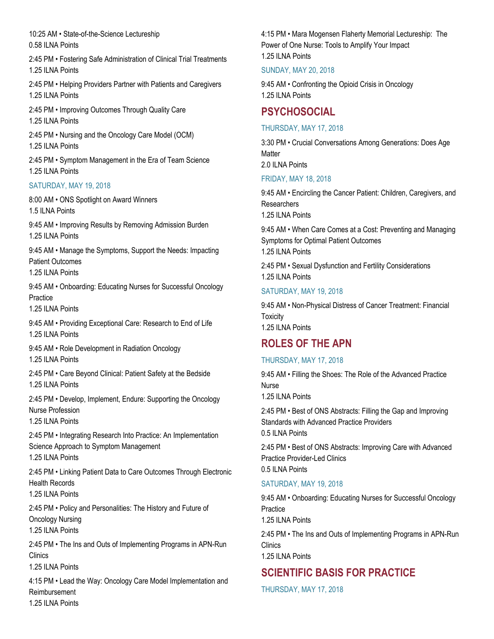10:25 AM • State-of-the-Science Lectureship 0.58 ILNA Points

2:45 PM • Fostering Safe Administration of Clinical Trial Treatments 1.25 ILNA Points

2:45 PM • Helping Providers Partner with Patients and Caregivers 1.25 ILNA Points

2:45 PM • Improving Outcomes Through Quality Care 1.25 ILNA Points

2:45 PM • Nursing and the Oncology Care Model (OCM) 1.25 ILNA Points

2:45 PM • Symptom Management in the Era of Team Science 1.25 ILNA Points

#### SATURDAY, MAY 19, 2018

8:00 AM • ONS Spotlight on Award Winners 1.5 ILNA Points

9:45 AM • Improving Results by Removing Admission Burden 1.25 ILNA Points

9:45 AM • Manage the Symptoms, Support the Needs: Impacting Patient Outcomes

1.25 ILNA Points

9:45 AM • Onboarding: Educating Nurses for Successful Oncology **Practice** 

1.25 ILNA Points

9:45 AM • Providing Exceptional Care: Research to End of Life 1.25 ILNA Points

9:45 AM • Role Development in Radiation Oncology 1.25 ILNA Points

2:45 PM • Care Beyond Clinical: Patient Safety at the Bedside 1.25 ILNA Points

2:45 PM • Develop, Implement, Endure: Supporting the Oncology Nurse Profession

1.25 ILNA Points

2:45 PM • Integrating Research Into Practice: An Implementation Science Approach to Symptom Management

1.25 ILNA Points

2:45 PM • Linking Patient Data to Care Outcomes Through Electronic Health Records

1.25 ILNA Points

2:45 PM • Policy and Personalities: The History and Future of Oncology Nursing 1.25 ILNA Points

2:45 PM • The Ins and Outs of Implementing Programs in APN-Run **Clinics** 

1.25 ILNA Points

4:15 PM • Lead the Way: Oncology Care Model Implementation and Reimbursement

4:15 PM • Mara Mogensen Flaherty Memorial Lectureship: The Power of One Nurse: Tools to Amplify Your Impact 1.25 ILNA Points

#### SUNDAY, MAY 20, 2018

9:45 AM • Confronting the Opioid Crisis in Oncology 1.25 ILNA Points

# **PSYCHOSOCIAL**

### THURSDAY, MAY 17, 2018

3:30 PM • Crucial Conversations Among Generations: Does Age **Matter** 2.0 ILNA Points

### FRIDAY, MAY 18, 2018

9:45 AM • Encircling the Cancer Patient: Children, Caregivers, and **Researchers** 1.25 ILNA Points

9:45 AM • When Care Comes at a Cost: Preventing and Managing Symptoms for Optimal Patient Outcomes 1.25 ILNA Points

2:45 PM • Sexual Dysfunction and Fertility Considerations 1.25 ILNA Points

### SATURDAY, MAY 19, 2018

9:45 AM • Non-Physical Distress of Cancer Treatment: Financial **Toxicity** 1.25 ILNA Points

# **ROLES OF THE APN**

# THURSDAY, MAY 17, 2018

9:45 AM • Filling the Shoes: The Role of the Advanced Practice Nurse

1.25 ILNA Points

2:45 PM • Best of ONS Abstracts: Filling the Gap and Improving Standards with Advanced Practice Providers 0.5 ILNA Points

2:45 PM • Best of ONS Abstracts: Improving Care with Advanced Practice Provider-Led Clinics

0.5 ILNA Points

# SATURDAY, MAY 19, 2018

9:45 AM • Onboarding: Educating Nurses for Successful Oncology **Practice** 1.25 ILNA Points

2:45 PM • The Ins and Outs of Implementing Programs in APN-Run **Clinics** 

1.25 ILNA Points

# **SCIENTIFIC BASIS FOR PRACTICE**

THURSDAY, MAY 17, 2018

1.25 ILNA Points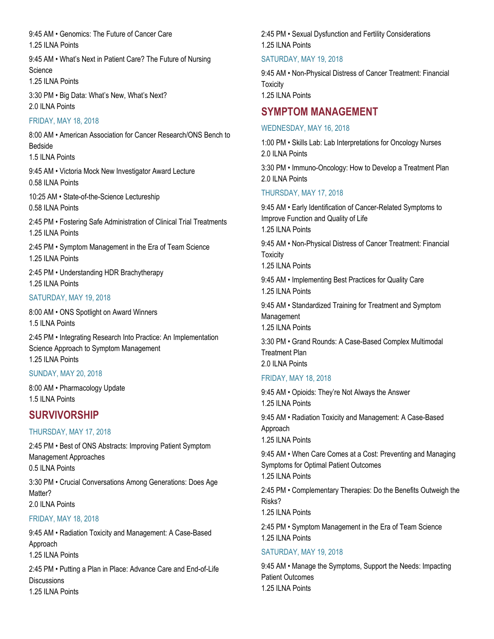9:45 AM • Genomics: The Future of Cancer Care 1.25 ILNA Points

9:45 AM • What's Next in Patient Care? The Future of Nursing Science

1.25 ILNA Points

3:30 PM • Big Data: What's New, What's Next? 2.0 ILNA Points

#### FRIDAY, MAY 18, 2018

8:00 AM • American Association for Cancer Research/ONS Bench to Bedside

1.5 ILNA Points

9:45 AM • Victoria Mock New Investigator Award Lecture 0.58 ILNA Points

10:25 AM • State-of-the-Science Lectureship 0.58 ILNA Points

2:45 PM • Fostering Safe Administration of Clinical Trial Treatments 1.25 ILNA Points

2:45 PM • Symptom Management in the Era of Team Science 1.25 ILNA Points

2:45 PM • Understanding HDR Brachytherapy 1.25 ILNA Points

### SATURDAY, MAY 19, 2018

8:00 AM • ONS Spotlight on Award Winners 1.5 ILNA Points

2:45 PM • Integrating Research Into Practice: An Implementation Science Approach to Symptom Management 1.25 ILNA Points

#### SUNDAY, MAY 20, 2018

8:00 AM • Pharmacology Update 1.5 ILNA Points

# **SURVIVORSHIP**

# THURSDAY, MAY 17, 2018

2:45 PM • Best of ONS Abstracts: Improving Patient Symptom Management Approaches 0.5 ILNA Points

3:30 PM • Crucial Conversations Among Generations: Does Age Matter? 2.0 ILNA Points

#### FRIDAY, MAY 18, 2018

9:45 AM • Radiation Toxicity and Management: A Case-Based Approach 1.25 ILNA Points

2:45 PM • Putting a Plan in Place: Advance Care and End-of-Life **Discussions** 1.25 ILNA Points

2:45 PM • Sexual Dysfunction and Fertility Considerations 1.25 ILNA Points

### SATURDAY, MAY 19, 2018

9:45 AM • Non-Physical Distress of Cancer Treatment: Financial **Toxicity** 1.25 ILNA Points

# **SYMPTOM MANAGEMENT**

#### WEDNESDAY, MAY 16, 2018

1:00 PM • Skills Lab: Lab Interpretations for Oncology Nurses 2.0 ILNA Points

3:30 PM • Immuno-Oncology: How to Develop a Treatment Plan 2.0 ILNA Points

# THURSDAY, MAY 17, 2018

9:45 AM • Early Identification of Cancer-Related Symptoms to Improve Function and Quality of Life 1.25 ILNA Points

9:45 AM • Non-Physical Distress of Cancer Treatment: Financial **Toxicity** 

1.25 ILNA Points

9:45 AM • Implementing Best Practices for Quality Care 1.25 ILNA Points

9:45 AM • Standardized Training for Treatment and Symptom Management 1.25 ILNA Points

3:30 PM • Grand Rounds: A Case-Based Complex Multimodal Treatment Plan 2.0 ILNA Points

# FRIDAY, MAY 18, 2018

9:45 AM • Opioids: They're Not Always the Answer 1.25 ILNA Points

9:45 AM • Radiation Toxicity and Management: A Case-Based Approach 1.25 ILNA Points

9:45 AM • When Care Comes at a Cost: Preventing and Managing Symptoms for Optimal Patient Outcomes 1.25 ILNA Points

2:45 PM • Complementary Therapies: Do the Benefits Outweigh the Risks?

1.25 ILNA Points

2:45 PM • Symptom Management in the Era of Team Science 1.25 ILNA Points

# SATURDAY, MAY 19, 2018

9:45 AM • Manage the Symptoms, Support the Needs: Impacting Patient Outcomes 1.25 ILNA Points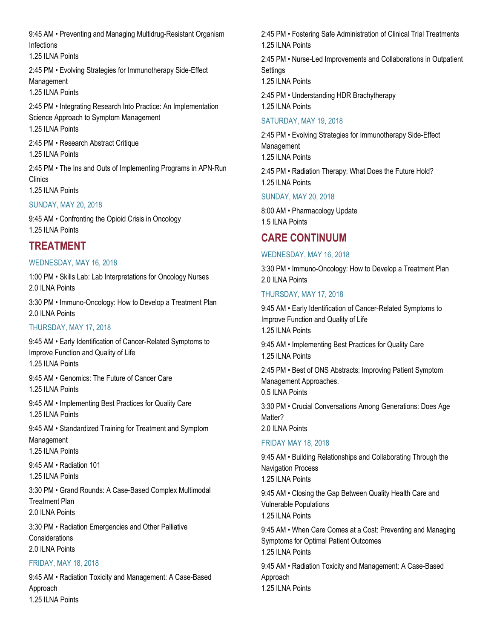9:45 AM • Preventing and Managing Multidrug-Resistant Organism Infections

1.25 ILNA Points

2:45 PM • Evolving Strategies for Immunotherapy Side-Effect Management

1.25 ILNA Points

2:45 PM • Integrating Research Into Practice: An Implementation Science Approach to Symptom Management 1.25 ILNA Points

2:45 PM • Research Abstract Critique 1.25 ILNA Points

2:45 PM • The Ins and Outs of Implementing Programs in APN-Run Clinics

1.25 ILNA Points

#### SUNDAY, MAY 20, 2018

9:45 AM • Confronting the Opioid Crisis in Oncology 1.25 ILNA Points

# **TREATMENT**

#### WEDNESDAY, MAY 16, 2018

1:00 PM • Skills Lab: Lab Interpretations for Oncology Nurses 2.0 ILNA Points

3:30 PM • Immuno-Oncology: How to Develop a Treatment Plan 2.0 ILNA Points

#### THURSDAY, MAY 17, 2018

9:45 AM • Early Identification of Cancer-Related Symptoms to Improve Function and Quality of Life 1.25 ILNA Points 9:45 AM • Genomics: The Future of Cancer Care 1.25 ILNA Points 9:45 AM • Implementing Best Practices for Quality Care 1.25 ILNA Points 9:45 AM • Standardized Training for Treatment and Symptom Management 1.25 ILNA Points 9:45 AM • Radiation 101 1.25 ILNA Points

3:30 PM • Grand Rounds: A Case-Based Complex Multimodal Treatment Plan 2.0 ILNA Points

3:30 PM • Radiation Emergencies and Other Palliative **Considerations** 2.0 ILNA Points

#### FRIDAY, MAY 18, 2018

9:45 AM • Radiation Toxicity and Management: A Case-Based Approach 1.25 ILNA Points

2:45 PM • Fostering Safe Administration of Clinical Trial Treatments 1.25 ILNA Points

2:45 PM • Nurse-Led Improvements and Collaborations in Outpatient Settings

1.25 ILNA Points

2:45 PM • Understanding HDR Brachytherapy

1.25 ILNA Points

### SATURDAY, MAY 19, 2018

2:45 PM • Evolving Strategies for Immunotherapy Side-Effect Management 1.25 ILNA Points

2:45 PM • Radiation Therapy: What Does the Future Hold? 1.25 ILNA Points

### SUNDAY, MAY 20, 2018

8:00 AM • Pharmacology Update 1.5 ILNA Points

# **CARE CONTINUUM**

### WEDNESDAY, MAY 16, 2018

3:30 PM • Immuno-Oncology: How to Develop a Treatment Plan 2.0 ILNA Points

### THURSDAY, MAY 17, 2018

9:45 AM • Early Identification of Cancer-Related Symptoms to Improve Function and Quality of Life 1.25 ILNA Points

9:45 AM • Implementing Best Practices for Quality Care 1.25 ILNA Points

2:45 PM • Best of ONS Abstracts: Improving Patient Symptom Management Approaches. 0.5 ILNA Points

3:30 PM • Crucial Conversations Among Generations: Does Age Matter?

2.0 ILNA Points

# FRIDAY MAY 18, 2018

9:45 AM • Building Relationships and Collaborating Through the Navigation Process

1.25 ILNA Points

9:45 AM • Closing the Gap Between Quality Health Care and Vulnerable Populations 1.25 ILNA Points

9:45 AM • When Care Comes at a Cost: Preventing and Managing Symptoms for Optimal Patient Outcomes 1.25 ILNA Points

9:45 AM • Radiation Toxicity and Management: A Case-Based Approach 1.25 ILNA Points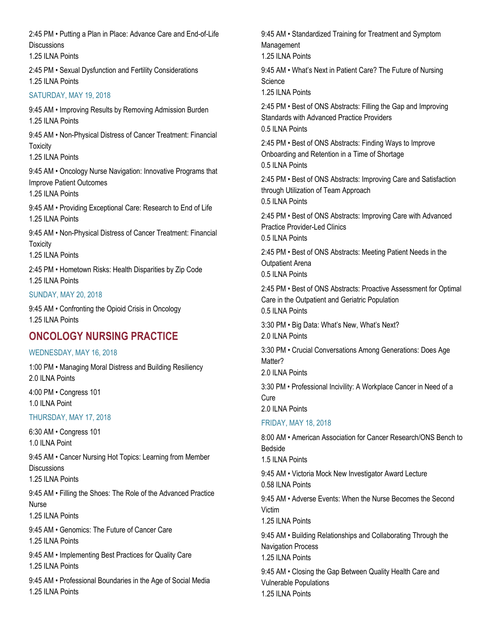2:45 PM • Putting a Plan in Place: Advance Care and End-of-Life **Discussions** 

1.25 ILNA Points

2:45 PM • Sexual Dysfunction and Fertility Considerations 1.25 ILNA Points

#### SATURDAY, MAY 19, 2018

9:45 AM • Improving Results by Removing Admission Burden 1.25 ILNA Points

9:45 AM • Non-Physical Distress of Cancer Treatment: Financial **Toxicity** 

1.25 ILNA Points

9:45 AM • Oncology Nurse Navigation: Innovative Programs that Improve Patient Outcomes 1.25 ILNA Points

9:45 AM • Providing Exceptional Care: Research to End of Life 1.25 ILNA Points

9:45 AM • Non-Physical Distress of Cancer Treatment: Financial **Toxicity** 

1.25 ILNA Points

2:45 PM • Hometown Risks: Health Disparities by Zip Code 1.25 ILNA Points

#### SUNDAY, MAY 20, 2018

9:45 AM • Confronting the Opioid Crisis in Oncology 1.25 ILNA Points

# **ONCOLOGY NURSING PRACTICE**

#### WEDNESDAY, MAY 16, 2018

1:00 PM • Managing Moral Distress and Building Resiliency 2.0 ILNA Points

4:00 PM • Congress 101 1.0 ILNA Point

#### THURSDAY, MAY 17, 2018

6:30 AM • Congress 101 1.0 ILNA Point

9:45 AM • Cancer Nursing Hot Topics: Learning from Member **Discussions** 

1.25 ILNA Points

9:45 AM • Filling the Shoes: The Role of the Advanced Practice **Nurse** 

1.25 ILNA Points

9:45 AM • Genomics: The Future of Cancer Care

1.25 ILNA Points

9:45 AM • Implementing Best Practices for Quality Care 1.25 ILNA Points

9:45 AM • Professional Boundaries in the Age of Social Media 1.25 ILNA Points

9:45 AM • Standardized Training for Treatment and Symptom Management 1.25 ILNA Points

9:45 AM • What's Next in Patient Care? The Future of Nursing Science

1.25 ILNA Points

2:45 PM • Best of ONS Abstracts: Filling the Gap and Improving Standards with Advanced Practice Providers 0.5 ILNA Points

2:45 PM • Best of ONS Abstracts: Finding Ways to Improve Onboarding and Retention in a Time of Shortage 0.5 ILNA Points

2:45 PM • Best of ONS Abstracts: Improving Care and Satisfaction through Utilization of Team Approach 0.5 ILNA Points

2:45 PM • Best of ONS Abstracts: Improving Care with Advanced Practice Provider-Led Clinics

0.5 ILNA Points

2:45 PM • Best of ONS Abstracts: Meeting Patient Needs in the Outpatient Arena 0.5 ILNA Points

2:45 PM • Best of ONS Abstracts: Proactive Assessment for Optimal Care in the Outpatient and Geriatric Population 0.5 ILNA Points

3:30 PM • Big Data: What's New, What's Next? 2.0 ILNA Points

3:30 PM • Crucial Conversations Among Generations: Does Age Matter?

2.0 ILNA Points

3:30 PM • Professional Incivility: A Workplace Cancer in Need of a **Cure** 2.0 ILNA Points

# FRIDAY, MAY 18, 2018

8:00 AM • American Association for Cancer Research/ONS Bench to Bedside 1.5 ILNA Points 9:45 AM • Victoria Mock New Investigator Award Lecture 0.58 ILNA Points 9:45 AM • Adverse Events: When the Nurse Becomes the Second Victim 1.25 ILNA Points 9:45 AM • Building Relationships and Collaborating Through the Navigation Process 1.25 ILNA Points 9:45 AM • Closing the Gap Between Quality Health Care and Vulnerable Populations

1.25 ILNA Points